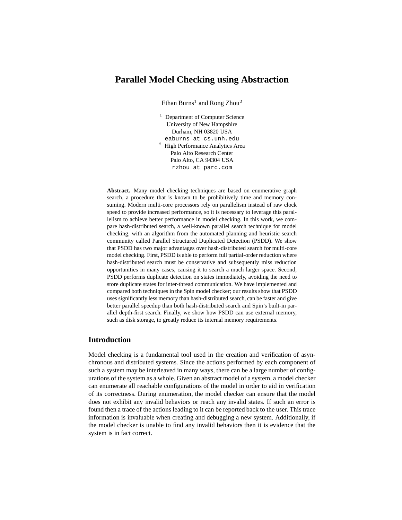# **Parallel Model Checking using Abstraction**

Ethan  $\rm{Burns^1}$  and  $\rm{Rong}$   $\rm{Zhou^2}$ 

 $<sup>1</sup>$  Department of Computer Science</sup> University of New Hampshire Durham, NH 03820 USA eaburns at cs.unh.edu <sup>2</sup> High Performance Analytics Area Palo Alto Research Center Palo Alto, CA 94304 USA rzhou at parc.com

**Abstract.** Many model checking techniques are based on enumerative graph search, a procedure that is known to be prohibitively time and memory consuming. Modern multi-core processors rely on parallelism instead of raw clock speed to provide increased performance, so it is necessary to leverage this parallelism to achieve better performance in model checking. In this work, we compare hash-distributed search, a well-known parallel search technique for model checking, with an algorithm from the automated planning and heuristic search community called Parallel Structured Duplicated Detection (PSDD). We show that PSDD has two major advantages over hash-distributed search for multi-core model checking. First, PSDD is able to perform full partial-order reduction where hash-distributed search must be conservative and subsequently miss reduction opportunities in many cases, causing it to search a much larger space. Second, PSDD performs duplicate detection on states immediately, avoiding the need to store duplicate states for inter-thread communication. We have implemented and compared both techniques in the Spin model checker; our results show that PSDD uses significantly less memory than hash-distributed search, can be faster and give better parallel speedup than both hash-distributed search and Spin's built-in parallel depth-first search. Finally, we show how PSDD can use external memory, such as disk storage, to greatly reduce its internal memory requirements.

# **Introduction**

Model checking is a fundamental tool used in the creation and verification of asynchronous and distributed systems. Since the actions performed by each component of such a system may be interleaved in many ways, there can be a large number of configurations of the system as a whole. Given an abstract model of a system, a model checker can enumerate all reachable configurations of the model in order to aid in verification of its correctness. During enumeration, the model checker can ensure that the model does not exhibit any invalid behaviors or reach any invalid states. If such an error is found then a trace of the actions leading to it can be reported back to the user. This trace information is invaluable when creating and debugging a new system. Additionally, if the model checker is unable to find any invalid behaviors then it is evidence that the system is in fact correct.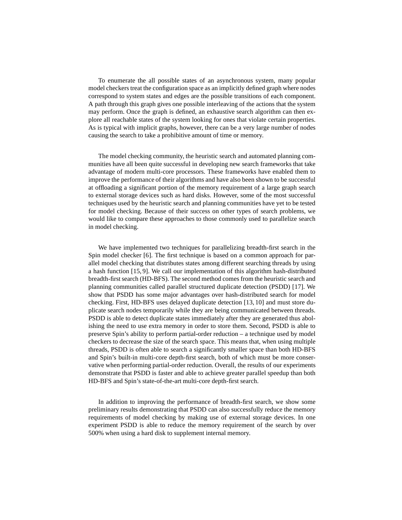To enumerate the all possible states of an asynchronous system, many popular model checkers treat the configuration space as an implicitly defined graph where nodes correspond to system states and edges are the possible transitions of each component. A path through this graph gives one possible interleaving of the actions that the system may perform. Once the graph is defined, an exhaustive search algorithm can then explore all reachable states of the system looking for ones that violate certain properties. As is typical with implicit graphs, however, there can be a very large number of nodes causing the search to take a prohibitive amount of time or memory.

The model checking community, the heuristic search and automated planning communities have all been quite successful in developing new search frameworks that take advantage of modern multi-core processors. These frameworks have enabled them to improve the performance of their algorithms and have also been shown to be successful at offloading a significant portion of the memory requirement of a large graph search to external storage devices such as hard disks. However, some of the most successful techniques used by the heuristic search and planning communities have yet to be tested for model checking. Because of their success on other types of search problems, we would like to compare these approaches to those commonly used to parallelize search in model checking.

We have implemented two techniques for parallelizing breadth-first search in the Spin model checker [6]. The first technique is based on a common approach for parallel model checking that distributes states among different searching threads by using a hash function [15, 9]. We call our implementation of this algorithm hash-distributed breadth-first search (HD-BFS). The second method comes from the heuristic search and planning communities called parallel structured duplicate detection (PSDD) [17]. We show that PSDD has some major advantages over hash-distributed search for model checking. First, HD-BFS uses delayed duplicate detection [13, 10] and must store duplicate search nodes temporarily while they are being communicated between threads. PSDD is able to detect duplicate states immediately after they are generated thus abolishing the need to use extra memory in order to store them. Second, PSDD is able to preserve Spin's ability to perform partial-order reduction – a technique used by model checkers to decrease the size of the search space. This means that, when using multiple threads, PSDD is often able to search a significantly smaller space than both HD-BFS and Spin's built-in multi-core depth-first search, both of which must be more conservative when performing partial-order reduction. Overall, the results of our experiments demonstrate that PSDD is faster and able to achieve greater parallel speedup than both HD-BFS and Spin's state-of-the-art multi-core depth-first search.

In addition to improving the performance of breadth-first search, we show some preliminary results demonstrating that PSDD can also successfully reduce the memory requirements of model checking by making use of external storage devices. In one experiment PSDD is able to reduce the memory requirement of the search by over 500% when using a hard disk to supplement internal memory.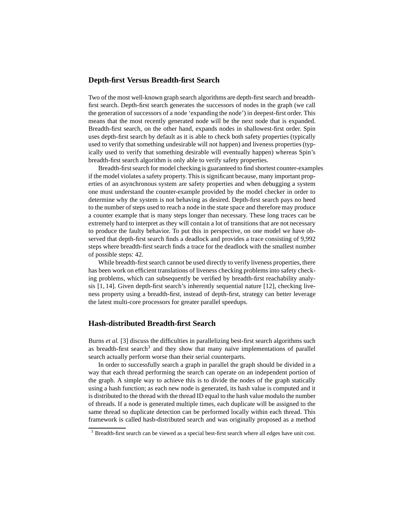## **Depth-first Versus Breadth-first Search**

Two of the most well-known graph search algorithms are depth-first search and breadthfirst search. Depth-first search generates the successors of nodes in the graph (we call the generation of successors of a node 'expanding the node') in deepest-first order. This means that the most recently generated node will be the next node that is expanded. Breadth-first search, on the other hand, expands nodes in shallowest-first order. Spin uses depth-first search by default as it is able to check both safety properties (typically used to verify that something undesirable will not happen) and liveness properties (typically used to verify that something desirable will eventually happen) whereas Spin's breadth-first search algorithm is only able to verify safety properties.

Breadth-first search for model checking is guaranteed to find shortest counter-examples if the model violates a safety property. This is significant because, many important properties of an asynchronous system are safety properties and when debugging a system one must understand the counter-example provided by the model checker in order to determine why the system is not behaving as desired. Depth-first search pays no heed to the number of steps used to reach a node in the state space and therefore may produce a counter example that is many steps longer than necessary. These long traces can be extremely hard to interpret as they will contain a lot of transitions that are not necessary to produce the faulty behavior. To put this in perspective, on one model we have observed that depth-first search finds a deadlock and provides a trace consisting of 9,992 steps where breadth-first search finds a trace for the deadlock with the smallest number of possible steps: 42.

While breadth-first search cannot be used directly to verify liveness properties, there has been work on efficient translations of liveness checking problems into safety checking problems, which can subsequently be verified by breadth-first reachability analysis  $[1, 14]$ . Given depth-first search's inherently sequential nature  $[12]$ , checking liveness property using a breadth-first, instead of depth-first, strategy can better leverage the latest multi-core processors for greater parallel speedups.

# **Hash-distributed Breadth-first Search**

Burns *et al.* [3] discuss the difficulties in parallelizing best-first search algorithms such as breadth-first search<sup>3</sup> and they show that many naïve implementations of parallel search actually perform worse than their serial counterparts.

In order to successfully search a graph in parallel the graph should be divided in a way that each thread performing the search can operate on an independent portion of the graph. A simple way to achieve this is to divide the nodes of the graph statically using a hash function; as each new node is generated, its hash value is computed and it is distributed to the thread with the thread ID equal to the hash value modulo the number of threads. If a node is generated multiple times, each duplicate will be assigned to the same thread so duplicate detection can be performed locally within each thread. This framework is called hash-distributed search and was originally proposed as a method

<sup>&</sup>lt;sup>3</sup> Breadth-first search can be viewed as a special best-first search where all edges have unit cost.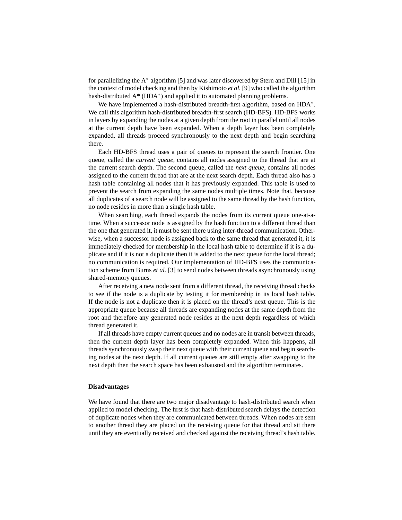for parallelizing the A<sup>∗</sup> algorithm [5] and was later discovered by Stern and Dill [15] in the context of model checking and then by Kishimoto *et al.* [9] who called the algorithm hash-distributed A\* (HDA<sup>\*</sup>) and applied it to automated planning problems.

We have implemented a hash-distributed breadth-first algorithm, based on HDA<sup>\*</sup>. We call this algorithm hash-distributed breadth-first search (HD-BFS). HD-BFS works in layers by expanding the nodes at a given depth from the root in parallel until all nodes at the current depth have been expanded. When a depth layer has been completely expanded, all threads proceed synchronously to the next depth and begin searching there.

Each HD-BFS thread uses a pair of queues to represent the search frontier. One queue, called the *current queue*, contains all nodes assigned to the thread that are at the current search depth. The second queue, called the *next queue*, contains all nodes assigned to the current thread that are at the next search depth. Each thread also has a hash table containing all nodes that it has previously expanded. This table is used to prevent the search from expanding the same nodes multiple times. Note that, because all duplicates of a search node will be assigned to the same thread by the hash function, no node resides in more than a single hash table.

When searching, each thread expands the nodes from its current queue one-at-atime. When a successor node is assigned by the hash function to a different thread than the one that generated it, it must be sent there using inter-thread communication. Otherwise, when a successor node is assigned back to the same thread that generated it, it is immediately checked for membership in the local hash table to determine if it is a duplicate and if it is not a duplicate then it is added to the next queue for the local thread; no communication is required. Our implementation of HD-BFS uses the communication scheme from Burns *et al.* [3] to send nodes between threads asynchronously using shared-memory queues.

After receiving a new node sent from a different thread, the receiving thread checks to see if the node is a duplicate by testing it for membership in its local hash table. If the node is not a duplicate then it is placed on the thread's next queue. This is the appropriate queue because all threads are expanding nodes at the same depth from the root and therefore any generated node resides at the next depth regardless of which thread generated it.

If all threads have empty current queues and no nodes are in transit between threads, then the current depth layer has been completely expanded. When this happens, all threads synchronously swap their next queue with their current queue and begin searching nodes at the next depth. If all current queues are still empty after swapping to the next depth then the search space has been exhausted and the algorithm terminates.

#### **Disadvantages**

We have found that there are two major disadvantage to hash-distributed search when applied to model checking. The first is that hash-distributed search delays the detection of duplicate nodes when they are communicated between threads. When nodes are sent to another thread they are placed on the receiving queue for that thread and sit there until they are eventually received and checked against the receiving thread's hash table.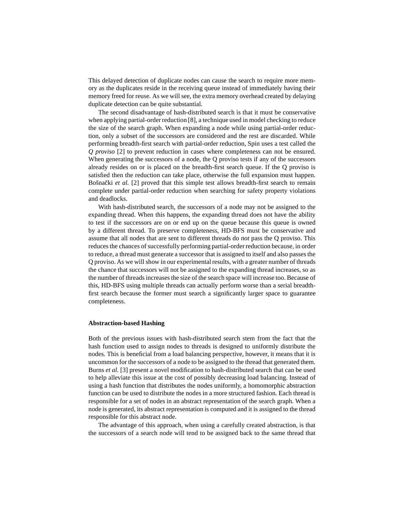This delayed detection of duplicate nodes can cause the search to require more memory as the duplicates reside in the receiving queue instead of immediately having their memory freed for reuse. As we will see, the extra memory overhead created by delaying duplicate detection can be quite substantial.

The second disadvantage of hash-distributed search is that it must be conservative when applying partial-order reduction [8], a technique used in model checking to reduce the size of the search graph. When expanding a node while using partial-order reduction, only a subset of the successors are considered and the rest are discarded. While performing breadth-first search with partial-order reduction, Spin uses a test called the *Q proviso* [2] to prevent reduction in cases where completeness can not be ensured. When generating the successors of a node, the Q proviso tests if any of the successors already resides on or is placed on the breadth-first search queue. If the Q proviso is satisfied then the reduction can take place, otherwise the full expansion must happen. Bošnački *et al.* [2] proved that this simple test allows breadth-first search to remain complete under partial-order reduction when searching for safety property violations and deadlocks.

With hash-distributed search, the successors of a node may not be assigned to the expanding thread. When this happens, the expanding thread does not have the ability to test if the successors are on or end up on the queue because this queue is owned by a different thread. To preserve completeness, HD-BFS must be conservative and assume that all nodes that are sent to different threads do *not* pass the Q proviso. This reduces the chances of successfully performing partial-order reduction because, in order to reduce, a thread must generate a successor that is assigned to itself and also passes the Q proviso. As we will show in our experimental results, with a greater number of threads the chance that successors will not be assigned to the expanding thread increases, so as the number of threads increases the size of the search space will increase too. Because of this, HD-BFS using multiple threads can actually perform worse than a serial breadthfirst search because the former must search a significantly larger space to guarantee completeness.

## **Abstraction-based Hashing**

Both of the previous issues with hash-distributed search stem from the fact that the hash function used to assign nodes to threads is designed to uniformly distribute the nodes. This is beneficial from a load balancing perspective, however, it means that it is uncommon for the successors of a node to be assigned to the thread that generated them. Burns *et al.* [3] present a novel modification to hash-distributed search that can be used to help alleviate this issue at the cost of possibly decreasing load balancing. Instead of using a hash function that distributes the nodes uniformly, a homomorphic abstraction function can be used to distribute the nodes in a more structured fashion. Each thread is responsible for a set of nodes in an abstract representation of the search graph. When a node is generated, its abstract representation is computed and it is assigned to the thread responsible for this abstract node.

The advantage of this approach, when using a carefully created abstraction, is that the successors of a search node will tend to be assigned back to the same thread that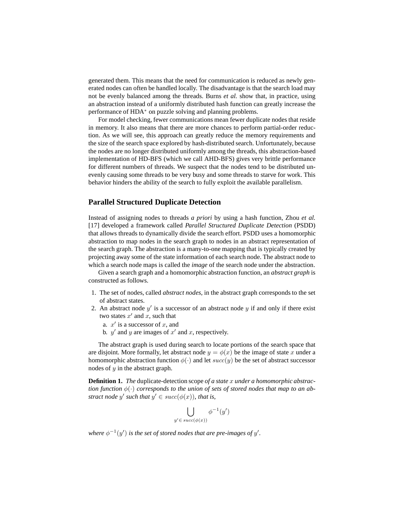generated them. This means that the need for communication is reduced as newly generated nodes can often be handled locally. The disadvantage is that the search load may not be evenly balanced among the threads. Burns *et al.* show that, in practice, using an abstraction instead of a uniformly distributed hash function can greatly increase the performance of HDA<sup>∗</sup> on puzzle solving and planning problems.

For model checking, fewer communications mean fewer duplicate nodes that reside in memory. It also means that there are more chances to perform partial-order reduction. As we will see, this approach can greatly reduce the memory requirements and the size of the search space explored by hash-distributed search. Unfortunately, because the nodes are no longer distributed uniformly among the threads, this abstraction-based implementation of HD-BFS (which we call AHD-BFS) gives very brittle performance for different numbers of threads. We suspect that the nodes tend to be distributed unevenly causing some threads to be very busy and some threads to starve for work. This behavior hinders the ability of the search to fully exploit the available parallelism.

# **Parallel Structured Duplicate Detection**

Instead of assigning nodes to threads *a priori* by using a hash function, Zhou *et al.* [17] developed a framework called *Parallel Structured Duplicate Detection* (PSDD) that allows threads to dynamically divide the search effort. PSDD uses a homomorphic abstraction to map nodes in the search graph to nodes in an abstract representation of the search graph. The abstraction is a many-to-one mapping that is typically created by projecting away some of the state information of each search node. The abstract node to which a search node maps is called the *image* of the search node under the abstraction.

Given a search graph and a homomorphic abstraction function, an *abstract graph* is constructed as follows.

- 1. The set of nodes, called *abstract nodes*, in the abstract graph corresponds to the set of abstract states.
- 2. An abstract node  $y'$  is a successor of an abstract node  $y$  if and only if there exist two states  $x'$  and  $x$ , such that
	- a.  $x'$  is a successor of  $x$ , and
	- b.  $y'$  and y are images of  $x'$  and x, respectively.

The abstract graph is used during search to locate portions of the search space that are disjoint. More formally, let abstract node  $y = \phi(x)$  be the image of state x under a homomorphic abstraction function  $\phi(\cdot)$  and let  $succ(y)$  be the set of abstract successor nodes of  $y$  in the abstract graph.

**Definition 1.** The duplicate-detection scope of a state x under a homomorphic abstrac*tion function* φ(·) *corresponds to the union of sets of stored nodes that map to an abstract node*  $y'$  *such that*  $y' \in succ(\phi(x))$ *, that is,* 

$$
\bigcup_{y' \in \mathit{succ}(\phi(x))} \phi^{-1}(y')
$$

where  $\phi^{-1}(y')$  is the set of stored nodes that are pre-images of  $y'$ .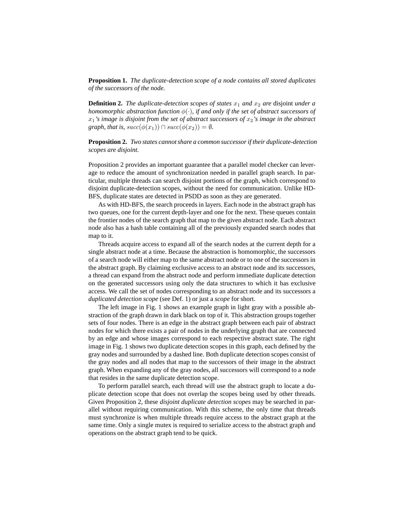**Proposition 1.** *The duplicate-detection scope of a node contains all stored duplicates of the successors of the node.*

**Definition 2.** The duplicate-detection scopes of states  $x_1$  and  $x_2$  are disjoint *under* a *homomorphic abstraction function*  $\phi(\cdot)$ *, if and only if the set of abstract successors of*  $x_1$ 's image is disjoint from the set of abstract successors of  $x_2$ 's image in the abstract *graph, that is,*  $succ(\phi(x_1)) \cap succ(\phi(x_2)) = \emptyset$ *.* 

**Proposition 2.** *Two states cannot share a common successor if their duplicate-detection scopes are disjoint.*

Proposition 2 provides an important guarantee that a parallel model checker can leverage to reduce the amount of synchronization needed in parallel graph search. In particular, multiple threads can search disjoint portions of the graph, which correspond to disjoint duplicate-detection scopes, without the need for communication. Unlike HD-BFS, duplicate states are detected in PSDD as soon as they are generated.

As with HD-BFS, the search proceeds in layers. Each node in the abstract graph has two queues, one for the current depth-layer and one for the next. These queues contain the frontier nodes of the search graph that map to the given abstract node. Each abstract node also has a hash table containing all of the previously expanded search nodes that map to it.

Threads acquire access to expand all of the search nodes at the current depth for a single abstract node at a time. Because the abstraction is homomorphic, the successors of a search node will either map to the same abstract node or to one of the successors in the abstract graph. By claiming exclusive access to an abstract node and its successors, a thread can expand from the abstract node and perform immediate duplicate detection on the generated successors using only the data structures to which it has exclusive access. We call the set of nodes corresponding to an abstract node and its successors a *duplicated detection scope* (see Def. 1) or just a *scope* for short.

The left image in Fig. 1 shows an example graph in light gray with a possible abstraction of the graph drawn in dark black on top of it. This abstraction groups together sets of four nodes. There is an edge in the abstract graph between each pair of abstract nodes for which there exists a pair of nodes in the underlying graph that are connected by an edge and whose images correspond to each respective abstract state. The right image in Fig. 1 shows two duplicate detection scopes in this graph, each defined by the gray nodes and surrounded by a dashed line. Both duplicate detection scopes consist of the gray nodes and all nodes that map to the successors of their image in the abstract graph. When expanding any of the gray nodes, all successors will correspond to a node that resides in the same duplicate detection scope.

To perform parallel search, each thread will use the abstract graph to locate a duplicate detection scope that does not overlap the scopes being used by other threads. Given Proposition 2, these *disjoint duplicate detection scopes* may be searched in parallel without requiring communication. With this scheme, the only time that threads must synchronize is when multiple threads require access to the abstract graph at the same time. Only a single mutex is required to serialize access to the abstract graph and operations on the abstract graph tend to be quick.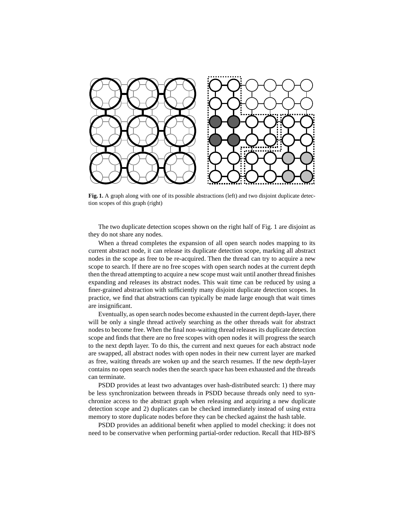

**Fig. 1.** A graph along with one of its possible abstractions (left) and two disjoint duplicate detection scopes of this graph (right)

The two duplicate detection scopes shown on the right half of Fig. 1 are disjoint as they do not share any nodes.

When a thread completes the expansion of all open search nodes mapping to its current abstract node, it can release its duplicate detection scope, marking all abstract nodes in the scope as free to be re-acquired. Then the thread can try to acquire a new scope to search. If there are no free scopes with open search nodes at the current depth then the thread attempting to acquire a new scope must wait until another thread finishes expanding and releases its abstract nodes. This wait time can be reduced by using a finer-grained abstraction with sufficiently many disjoint duplicate detection scopes. In practice, we find that abstractions can typically be made large enough that wait times are insignificant.

Eventually, as open search nodes become exhausted in the current depth-layer, there will be only a single thread actively searching as the other threads wait for abstract nodes to become free. When the final non-waiting thread releases its duplicate detection scope and finds that there are no free scopes with open nodes it will progress the search to the next depth layer. To do this, the current and next queues for each abstract node are swapped, all abstract nodes with open nodes in their new current layer are marked as free, waiting threads are woken up and the search resumes. If the new depth-layer contains no open search nodes then the search space has been exhausted and the threads can terminate.

PSDD provides at least two advantages over hash-distributed search: 1) there may be less synchronization between threads in PSDD because threads only need to synchronize access to the abstract graph when releasing and acquiring a new duplicate detection scope and 2) duplicates can be checked immediately instead of using extra memory to store duplicate nodes before they can be checked against the hash table.

PSDD provides an additional benefit when applied to model checking: it does not need to be conservative when performing partial-order reduction. Recall that HD-BFS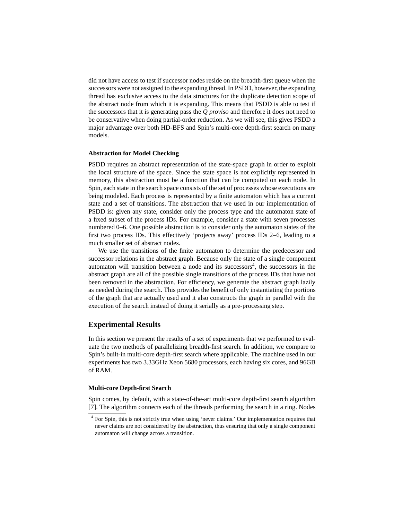did not have access to test if successor nodes reside on the breadth-first queue when the successors were not assigned to the expanding thread. In PSDD, however, the expanding thread has exclusive access to the data structures for the duplicate detection scope of the abstract node from which it is expanding. This means that PSDD is able to test if the successors that it is generating pass the *Q proviso* and therefore it does not need to be conservative when doing partial-order reduction. As we will see, this gives PSDD a major advantage over both HD-BFS and Spin's multi-core depth-first search on many models.

#### **Abstraction for Model Checking**

PSDD requires an abstract representation of the state-space graph in order to exploit the local structure of the space. Since the state space is not explicitly represented in memory, this abstraction must be a function that can be computed on each node. In Spin, each state in the search space consists of the set of processes whose executions are being modeled. Each process is represented by a finite automaton which has a current state and a set of transitions. The abstraction that we used in our implementation of PSDD is: given any state, consider only the process type and the automaton state of a fixed subset of the process IDs. For example, consider a state with seven processes numbered 0–6. One possible abstraction is to consider only the automaton states of the first two process IDs. This effectively 'projects away' process IDs 2–6, leading to a much smaller set of abstract nodes.

We use the transitions of the finite automaton to determine the predecessor and successor relations in the abstract graph. Because only the state of a single component automaton will transition between a node and its successors<sup>4</sup>, the successors in the abstract graph are all of the possible single transitions of the process IDs that have not been removed in the abstraction. For efficiency, we generate the abstract graph lazily as needed during the search. This provides the benefit of only instantiating the portions of the graph that are actually used and it also constructs the graph in parallel with the execution of the search instead of doing it serially as a pre-processing step.

# **Experimental Results**

In this section we present the results of a set of experiments that we performed to evaluate the two methods of parallelizing breadth-first search. In addition, we compare to Spin's built-in multi-core depth-first search where applicable. The machine used in our experiments has two 3.33GHz Xeon 5680 processors, each having six cores, and 96GB of RAM.

#### **Multi-core Depth-first Search**

Spin comes, by default, with a state-of-the-art multi-core depth-first search algorithm [7]. The algorithm connects each of the threads performing the search in a ring. Nodes

<sup>&</sup>lt;sup>4</sup> For Spin, this is not strictly true when using 'never claims.' Our implementation requires that never claims are not considered by the abstraction, thus ensuring that only a single component automaton will change across a transition.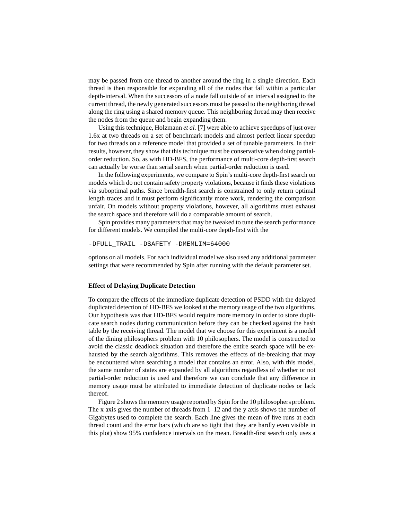may be passed from one thread to another around the ring in a single direction. Each thread is then responsible for expanding all of the nodes that fall within a particular depth-interval. When the successors of a node fall outside of an interval assigned to the current thread, the newly generated successors must be passed to the neighboring thread along the ring using a shared memory queue. This neighboring thread may then receive the nodes from the queue and begin expanding them.

Using this technique, Holzmann *et al.* [7] were able to achieve speedups of just over 1.6x at two threads on a set of benchmark models and almost perfect linear speedup for two threads on a reference model that provided a set of tunable parameters. In their results, however, they show that this technique must be conservative when doing partialorder reduction. So, as with HD-BFS, the performance of multi-core depth-first search can actually be worse than serial search when partial-order reduction is used.

In the following experiments, we compare to Spin's multi-core depth-first search on models which do not contain safety property violations, because it finds these violations via suboptimal paths. Since breadth-first search is constrained to only return optimal length traces and it must perform significantly more work, rendering the comparison unfair. On models without property violations, however, all algorithms must exhaust the search space and therefore will do a comparable amount of search.

Spin provides many parameters that may be tweaked to tune the search performance for different models. We compiled the multi-core depth-first with the

-DFULL\_TRAIL -DSAFETY -DMEMLIM=64000

options on all models. For each individual model we also used any additional parameter settings that were recommended by Spin after running with the default parameter set.

#### **Effect of Delaying Duplicate Detection**

To compare the effects of the immediate duplicate detection of PSDD with the delayed duplicated detection of HD-BFS we looked at the memory usage of the two algorithms. Our hypothesis was that HD-BFS would require more memory in order to store duplicate search nodes during communication before they can be checked against the hash table by the receiving thread. The model that we choose for this experiment is a model of the dining philosophers problem with 10 philosophers. The model is constructed to avoid the classic deadlock situation and therefore the entire search space will be exhausted by the search algorithms. This removes the effects of tie-breaking that may be encountered when searching a model that contains an error. Also, with this model, the same number of states are expanded by all algorithms regardless of whether or not partial-order reduction is used and therefore we can conclude that any difference in memory usage must be attributed to immediate detection of duplicate nodes or lack thereof.

Figure 2 shows the memory usage reported by Spin for the 10 philosophers problem. The x axis gives the number of threads from  $1-12$  and the y axis shows the number of Gigabytes used to complete the search. Each line gives the mean of five runs at each thread count and the error bars (which are so tight that they are hardly even visible in this plot) show 95% confidence intervals on the mean. Breadth-first search only uses a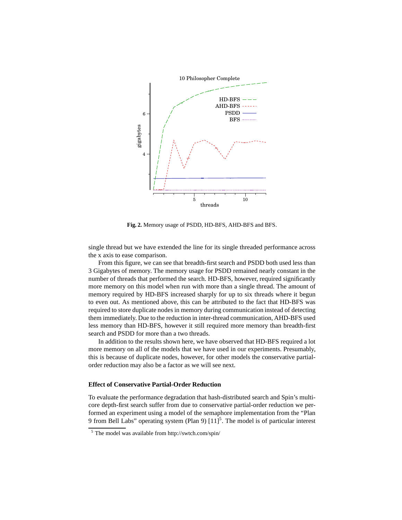

**Fig. 2.** Memory usage of PSDD, HD-BFS, AHD-BFS and BFS.

single thread but we have extended the line for its single threaded performance across the x axis to ease comparison.

From this figure, we can see that breadth-first search and PSDD both used less than 3 Gigabytes of memory. The memory usage for PSDD remained nearly constant in the number of threads that performed the search. HD-BFS, however, required significantly more memory on this model when run with more than a single thread. The amount of memory required by HD-BFS increased sharply for up to six threads where it begun to even out. As mentioned above, this can be attributed to the fact that HD-BFS was required to store duplicate nodes in memory during communication instead of detecting them immediately. Due to the reduction in inter-thread communication, AHD-BFS used less memory than HD-BFS, however it still required more memory than breadth-first search and PSDD for more than a two threads.

In addition to the results shown here, we have observed that HD-BFS required a lot more memory on all of the models that we have used in our experiments. Presumably, this is because of duplicate nodes, however, for other models the conservative partialorder reduction may also be a factor as we will see next.

#### **Effect of Conservative Partial-Order Reduction**

To evaluate the performance degradation that hash-distributed search and Spin's multicore depth-first search suffer from due to conservative partial-order reduction we performed an experiment using a model of the semaphore implementation from the "Plan 9 from Bell Labs" operating system (Plan 9)  $[11]$ <sup>5</sup>. The model is of particular interest

<sup>5</sup> The model was available from http://swtch.com/spin/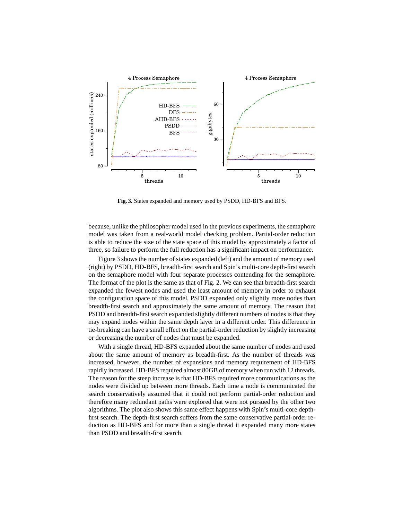

**Fig. 3.** States expanded and memory used by PSDD, HD-BFS and BFS.

because, unlike the philosopher model used in the previous experiments, the semaphore model was taken from a real-world model checking problem. Partial-order reduction is able to reduce the size of the state space of this model by approximately a factor of three, so failure to perform the full reduction has a significant impact on performance.

Figure 3 shows the number of states expanded (left) and the amount of memory used (right) by PSDD, HD-BFS, breadth-first search and Spin's multi-core depth-first search on the semaphore model with four separate processes contending for the semaphore. The format of the plot is the same as that of Fig. 2. We can see that breadth-first search expanded the fewest nodes and used the least amount of memory in order to exhaust the configuration space of this model. PSDD expanded only slightly more nodes than breadth-first search and approximately the same amount of memory. The reason that PSDD and breadth-first search expanded slightly different numbers of nodes is that they may expand nodes within the same depth layer in a different order. This difference in tie-breaking can have a small effect on the partial-order reduction by slightly increasing or decreasing the number of nodes that must be expanded.

With a single thread, HD-BFS expanded about the same number of nodes and used about the same amount of memory as breadth-first. As the number of threads was increased, however, the number of expansions and memory requirement of HD-BFS rapidly increased. HD-BFS required almost 80GB of memory when run with 12 threads. The reason for the steep increase is that HD-BFS required more communications as the nodes were divided up between more threads. Each time a node is communicated the search conservatively assumed that it could not perform partial-order reduction and therefore many redundant paths were explored that were not pursued by the other two algorithms. The plot also shows this same effect happens with Spin's multi-core depthfirst search. The depth-first search suffers from the same conservative partial-order reduction as HD-BFS and for more than a single thread it expanded many more states than PSDD and breadth-first search.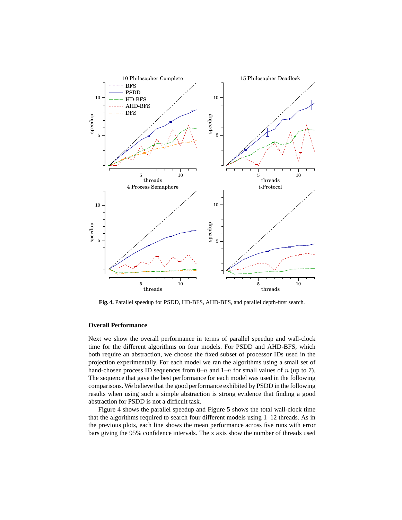

**Fig. 4.** Parallel speedup for PSDD, HD-BFS, AHD-BFS, and parallel depth-first search.

## **Overall Performance**

Next we show the overall performance in terms of parallel speedup and wall-clock time for the different algorithms on four models. For PSDD and AHD-BFS, which both require an abstraction, we choose the fixed subset of processor IDs used in the projection experimentally. For each model we ran the algorithms using a small set of hand-chosen process ID sequences from  $0-n$  and  $1-n$  for small values of n (up to 7). The sequence that gave the best performance for each model was used in the following comparisons. We believe that the good performance exhibited by PSDD in the following results when using such a simple abstraction is strong evidence that finding a good abstraction for PSDD is not a difficult task.

Figure 4 shows the parallel speedup and Figure 5 shows the total wall-clock time that the algorithms required to search four different models using 1–12 threads. As in the previous plots, each line shows the mean performance across five runs with error bars giving the 95% confidence intervals. The x axis show the number of threads used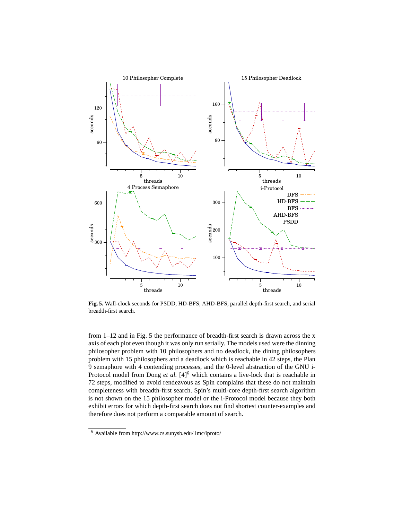

**Fig. 5.** Wall-clock seconds for PSDD, HD-BFS, AHD-BFS, parallel depth-first search, and serial breadth-first search.

from 1–12 and in Fig. 5 the performance of breadth-first search is drawn across the x axis of each plot even though it was only run serially. The models used were the dinning philosopher problem with 10 philosophers and no deadlock, the dining philosophers problem with 15 philosophers and a deadlock which is reachable in 42 steps, the Plan 9 semaphore with 4 contending processes, and the 0-level abstraction of the GNU i-Protocol model from Dong *et al.* [4]<sup>6</sup> which contains a live-lock that is reachable in 72 steps, modified to avoid rendezvous as Spin complains that these do not maintain completeness with breadth-first search. Spin's multi-core depth-first search algorithm is not shown on the 15 philosopher model or the i-Protocol model because they both exhibit errors for which depth-first search does not find shortest counter-examples and therefore does not perform a comparable amount of search.

<sup>6</sup> Available from http://www.cs.sunysb.edu/ lmc/iproto/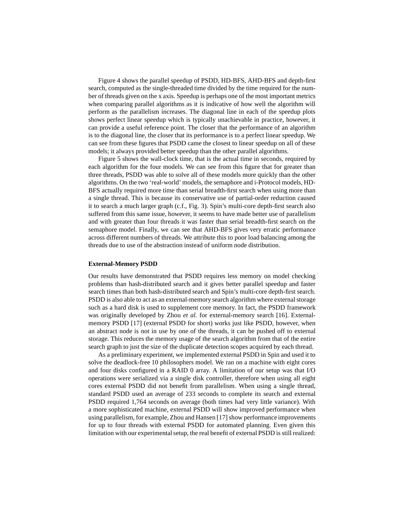Figure 4 shows the parallel speedup of PSDD, HD-BFS, AHD-BFS and depth-first search, computed as the single-threaded time divided by the time required for the number of threads given on the x axis. Speedup is perhaps one of the most important metrics when comparing parallel algorithms as it is indicative of how well the algorithm will perform as the parallelism increases. The diagonal line in each of the speedup plots shows perfect linear speedup which is typically unachievable in practice, however, it can provide a useful reference point. The closer that the performance of an algorithm is to the diagonal line, the closer that its performance is to a perfect linear speedup. We can see from these figures that PSDD came the closest to linear speedup on all of these models; it always provided better speedup than the other parallel algorithms.

Figure 5 shows the wall-clock time, that is the actual time in seconds, required by each algorithm for the four models. We can see from this figure that for greater than three threads, PSDD was able to solve all of these models more quickly than the other algorithms. On the two 'real-world' models, the semaphore and i-Protocol models, HD-BFS actually required more time than serial breadth-first search when using more than a single thread. This is because its conservative use of partial-order reduction caused it to search a much larger graph (c.f., Fig. 3). Spin's multi-core depth-first search also suffered from this same issue, however, it seems to have made better use of parallelism and with greater than four threads it was faster than serial breadth-first search on the semaphore model. Finally, we can see that AHD-BFS gives very erratic performance across different numbers of threads. We attribute this to poor load balancing among the threads due to use of the abstraction instead of uniform node distribution.

#### **External-Memory PSDD**

Our results have demonstrated that PSDD requires less memory on model checking problems than hash-distributed search and it gives better parallel speedup and faster search times than both hash-distributed search and Spin's multi-core depth-first search. PSDD is also able to act as an external-memory search algorithm where external storage such as a hard disk is used to supplement core memory. In fact, the PSDD framework was originally developed by Zhou *et al.* for external-memory search [16]. Externalmemory PSDD [17] (external PSDD for short) works just like PSDD, however, when an abstract node is not in use by one of the threads, it can be pushed off to external storage. This reduces the memory usage of the search algorithm from that of the entire search graph to just the size of the duplicate detection scopes acquired by each thread.

As a preliminary experiment, we implemented external PSDD in Spin and used it to solve the deadlock-free 10 philosophers model. We ran on a machine with eight cores and four disks configured in a RAID 0 array. A limitation of our setup was that I/O operations were serialized via a single disk controller, therefore when using all eight cores external PSDD did not benefit from parallelism. When using a single thread, standard PSDD used an average of 233 seconds to complete its search and external PSDD required 1,764 seconds on average (both times had very little variance). With a more sophisticated machine, external PSDD will show improved performance when using parallelism, for example, Zhou and Hansen [17] show performance improvements for up to four threads with external PSDD for automated planning. Even given this limitation with our experimental setup, the real benefit of external PSDD is still realized: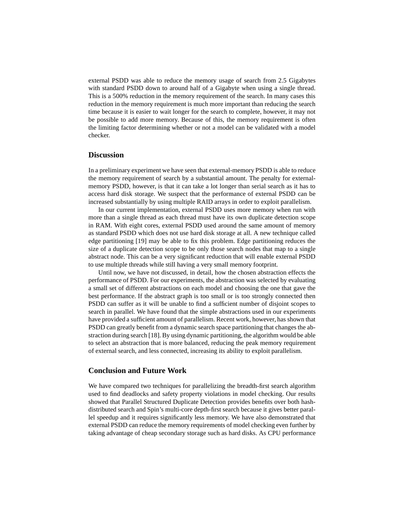external PSDD was able to reduce the memory usage of search from 2.5 Gigabytes with standard PSDD down to around half of a Gigabyte when using a single thread. This is a 500% reduction in the memory requirement of the search. In many cases this reduction in the memory requirement is much more important than reducing the search time because it is easier to wait longer for the search to complete, however, it may not be possible to add more memory. Because of this, the memory requirement is often the limiting factor determining whether or not a model can be validated with a model checker.

# **Discussion**

In a preliminary experiment we have seen that external-memory PSDD is able to reduce the memory requirement of search by a substantial amount. The penalty for externalmemory PSDD, however, is that it can take a lot longer than serial search as it has to access hard disk storage. We suspect that the performance of external PSDD can be increased substantially by using multiple RAID arrays in order to exploit parallelism.

In our current implementation, external PSDD uses more memory when run with more than a single thread as each thread must have its own duplicate detection scope in RAM. With eight cores, external PSDD used around the same amount of memory as standard PSDD which does not use hard disk storage at all. A new technique called edge partitioning [19] may be able to fix this problem. Edge partitioning reduces the size of a duplicate detection scope to be only those search nodes that map to a single abstract node. This can be a very significant reduction that will enable external PSDD to use multiple threads while still having a very small memory footprint.

Until now, we have not discussed, in detail, how the chosen abstraction effects the performance of PSDD. For our experiments, the abstraction was selected by evaluating a small set of different abstractions on each model and choosing the one that gave the best performance. If the abstract graph is too small or is too strongly connected then PSDD can suffer as it will be unable to find a sufficient number of disjoint scopes to search in parallel. We have found that the simple abstractions used in our experiments have provided a sufficient amount of parallelism. Recent work, however, has shown that PSDD can greatly benefit from a dynamic search space partitioning that changes the abstraction during search [18]. By using dynamic partitioning, the algorithm would be able to select an abstraction that is more balanced, reducing the peak memory requirement of external search, and less connected, increasing its ability to exploit parallelism.

## **Conclusion and Future Work**

We have compared two techniques for parallelizing the breadth-first search algorithm used to find deadlocks and safety property violations in model checking. Our results showed that Parallel Structured Duplicate Detection provides benefits over both hashdistributed search and Spin's multi-core depth-first search because it gives better parallel speedup and it requires significantly less memory. We have also demonstrated that external PSDD can reduce the memory requirements of model checking even further by taking advantage of cheap secondary storage such as hard disks. As CPU performance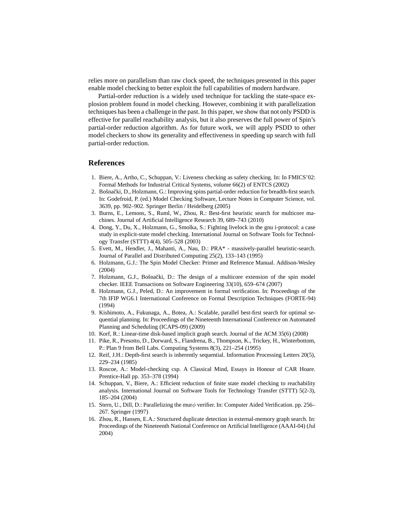relies more on parallelism than raw clock speed, the techniques presented in this paper enable model checking to better exploit the full capabilities of modern hardware.

Partial-order reduction is a widely used technique for tackling the state-space explosion problem found in model checking. However, combining it with parallelization techniques has been a challenge in the past. In this paper, we show that not only PSDD is effective for parallel reachability analysis, but it also preserves the full power of Spin's partial-order reduction algorithm. As for future work, we will apply PSDD to other model checkers to show its generality and effectiveness in speeding up search with full partial-order reduction.

## **References**

- 1. Biere, A., Artho, C., Schuppan, V.: Liveness checking as safety checking. In: In FMICS'02: Formal Methods for Industrial Critical Systems, volume 66(2) of ENTCS (2002)
- 2. Bošnački, D., Holzmann, G.: Improving spins partial-order reduction for breadth-first search. In: Godefroid, P. (ed.) Model Checking Software, Lecture Notes in Computer Science, vol. 3639, pp. 902–902. Springer Berlin / Heidelberg (2005)
- 3. Burns, E., Lemons, S., Ruml, W., Zhou, R.: Best-first heuristic search for multicore machines. Journal of Artificial Intelligence Research 39, 689–743 (2010)
- 4. Dong, Y., Du, X., Holzmann, G., Smolka, S.: Fighting livelock in the gnu i-protocol: a case study in explicit-state model checking. International Journal on Software Tools for Technology Transfer (STTT) 4(4), 505–528 (2003)
- 5. Evett, M., Hendler, J., Mahanti, A., Nau, D.: PRA\* massively-parallel heuristic-search. Journal of Parallel and Distributed Computing 25(2), 133–143 (1995)
- 6. Holzmann, G.J.: The Spin Model Checker: Primer and Reference Manual. Addison-Wesley (2004)
- 7. Holzmann, G.J., Bošnački, D.: The design of a multicore extension of the spin model checker. IEEE Transactions on Software Engineering 33(10), 659–674 (2007)
- 8. Holzmann, G.J., Peled, D.: An improvement in formal verification. In: Proceedings of the 7th IFIP WG6.1 International Conference on Formal Description Techniques (FORTE-94) (1994)
- 9. Kishimoto, A., Fukunaga, A., Botea, A.: Scalable, parallel best-first search for optimal sequential planning. In: Proceedings of the Nineteenth International Conference on Automated Planning and Scheduling (ICAPS-09) (2009)
- 10. Korf, R.: Linear-time disk-based implicit graph search. Journal of the ACM 35(6) (2008)
- 11. Pike, R., Presotto, D., Dorward, S., Flandrena, B., Thompson, K., Trickey, H., Winterbottom, P.: Plan 9 from Bell Labs. Computing Systems 8(3), 221–254 (1995)
- 12. Reif, J.H.: Depth-first search is inherently sequential. Information Processing Letters 20(5), 229–234 (1985)
- 13. Roscoe, A.: Model-checking csp. A Classical Mind, Essays in Honour of CAR Hoare. Prentice-Hall pp. 353–378 (1994)
- 14. Schuppan, V., Biere, A.: Efficient reduction of finite state model checking to reachability analysis. International Journal on Software Tools for Technology Transfer (STTT) 5(2-3), 185–204 (2004)
- 15. Stern, U., Dill, D.: Parallelizing the murφ verifier. In: Computer Aided Verification. pp. 256– 267. Springer (1997)
- 16. Zhou, R., Hansen, E.A.: Structured duplicate detection in external-memory graph search. In: Proceedings of the Nineteenth National Conference on Artificial Intelligence (AAAI-04) (Jul 2004)